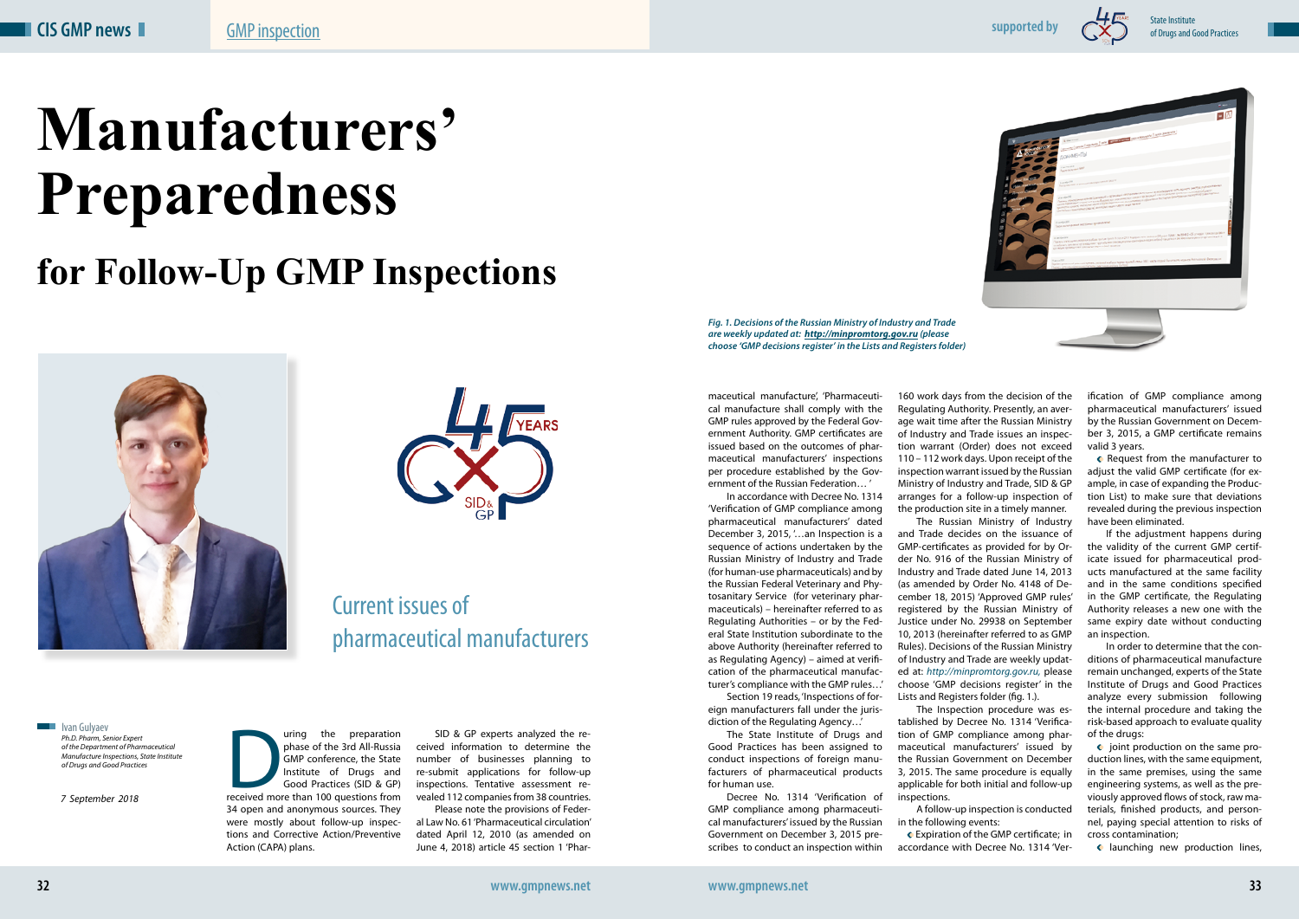## **Manufacturers' Preparedness**

## **for Follow-Up GMP Inspections**





uring the preparation<br>
phase of the 3rd All-Russia<br>
GMP conference, the State<br>
Institute of Drugs and<br>
Good Practices (SID & GP)<br>
received more than 100 questions from phase of the 3rd All-Russia GMP conference, the State Institute of Drugs and Good Practices (SID & GP) 34 open and anonymous sources. They were mostly about follow-up inspections and Corrective Action/Preventive Action (CAPA) plans.

*7 September 2018*

**III** Ivan Gulyaev *Ph.D. Pharm, Senior Expert of the Department of Pharmaceutical Manufacture Inspections, State Institute of Drugs and Good Practices*

SID & GP experts analyzed the received information to determine the number of businesses planning to re-submit applications for follow-up inspections. Tentative assessment revealed 112 companies from 38 countries.

Please note the provisions of Federal Law No. 61 'Pharmaceutical circulation' dated April 12, 2010 (as amended on June 4, 2018) article 45 section 1 'Phar-

## Current issues of pharmaceutical manufacturers

maceutical manufacture', 'Pharmaceutical manufacture shall comply with the GMP rules approved by the Federal Government Authority. GMP certificates are issued based on the outcomes of pharmaceutical manufacturers' inspections per procedure established by the Government of the Russian Federation… '

In accordance with Decree No. 1314 'Verification of GMP compliance among pharmaceutical manufacturers' dated December 3, 2015, '…an Inspection is a sequence of actions undertaken by the Russian Ministry of Industry and Trade (for human-use pharmaceuticals) and by the Russian Federal Veterinary and Phytosanitary Service (for veterinary pharmaceuticals) – hereinafter referred to as Regulating Authorities – or by the Federal State Institution subordinate to the above Authority (hereinafter referred to as Regulating Agency) – aimed at verification of the pharmaceutical manufacturer's compliance with the GMP rules…'

**C** Request from the manufacturer to adjust the valid GMP certificate (for example, in case of expanding the Production List) to make sure that deviations revealed during the previous inspection have been eliminated.

Section 19 reads, 'Inspections of foreign manufacturers fall under the jurisdiction of the Regulating Agency…'

The State Institute of Drugs and Good Practices has been assigned to conduct inspections of foreign manufacturers of pharmaceutical products for human use.

Decree No. 1314 'Verification of GMP compliance among pharmaceutical manufacturers' issued by the Russian Government on December 3, 2015 prescribes to conduct an inspection within

 $\bullet$  joint production on the same production lines, with the same equipment, in the same premises, using the same engineering systems, as well as the previously approved flows of stock, raw materials, finished products, and personnel, paying special attention to risks of cross contamination;

**c** launching new production lines,

160 work days from the decision of the Regulating Authority. Presently, an average wait time after the Russian Ministry of Industry and Trade issues an inspection warrant (Order) does not exceed 110 – 112 work days. Upon receipt of the inspection warrant issued by the Russian Ministry of Industry and Trade, SID & GP arranges for a follow-up inspection of the production site in a timely manner.

The Russian Ministry of Industry and Trade decides on the issuance of GMP-certificates as provided for by Order No. 916 of the Russian Ministry of Industry and Trade dated June 14, 2013 (as amended by Order No. 4148 of December 18, 2015) 'Approved GMP rules' registered by the Russian Ministry of Justice under No. 29938 on September 10, 2013 (hereinafter referred to as GMP Rules). Decisions of the Russian Ministry of Industry and Trade are weekly updated at: *http://minpromtorg.gov.ru,* please choose 'GMP decisions register' in the Lists and Registers folder (fig. 1.).

The Inspection procedure was established by Decree No. 1314 'Verification of GMP compliance among pharmaceutical manufacturers' issued by the Russian Government on December 3, 2015. The same procedure is equally applicable for both initial and follow-up inspections.

A follow-up inspection is conducted in the following events: Expiration of the GMP certificate; in accordance with Decree No. 1314 'Ver-





ification of GMP compliance among pharmaceutical manufacturers' issued by the Russian Government on December 3, 2015, a GMP certificate remains valid 3 years.

If the adjustment happens during the validity of the current GMP certificate issued for pharmaceutical products manufactured at the same facility and in the same conditions specified in the GMP certificate, the Regulating Authority releases a new one with the same expiry date without conducting an inspection.

In order to determine that the conditions of pharmaceutical manufacture remain unchanged, experts of the State Institute of Drugs and Good Practices analyze every submission following the internal procedure and taking the risk-based approach to evaluate quality of the drugs:

*Fig. 1. Decisions of the Russian Ministry of Industry and Trade are weekly updated at: http://minpromtorg.gov.ru (please choose 'GMP decisions register' in the Lists and Registers folder)*